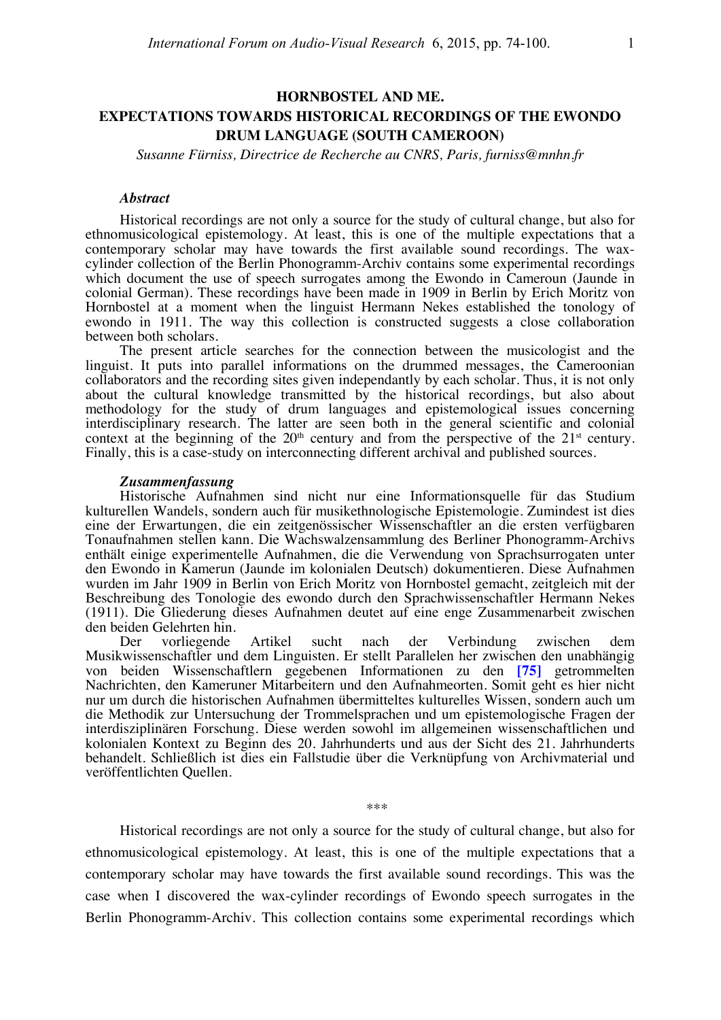# **HORNBOSTEL AND ME. EXPECTATIONS TOWARDS HISTORICAL RECORDINGS OF THE EWONDO DRUM LANGUAGE (SOUTH CAMEROON)**

*Susanne Fürniss, Directrice de Recherche au CNRS, Paris, furniss@mnhn.fr*

# *Abstract*

Historical recordings are not only a source for the study of cultural change, but also for ethnomusicological epistemology. At least, this is one of the multiple expectations that a cylinder collection of the Berlin Phonogramm-Archiv contains some experimental recordings. which document the use of speech surrogates among the Ewondo in Cameroun (Jaunde in colonial German). These recordings have been made in 1909 in Berlin by Erich Moritz von Hornbostel at a moment when the linguist Hermann Nekes established the tonology of ewondo in 1911. The way this collection is constructed suggests a close collaboration between both scholars.

The present article searches for the connection between the musicologist and the linguist. It puts into parallel informations on the drummed messages, the Cameroonian collaborators and the recording sites given independantly by each scholar. Thus, it is not only about the cultural knowledge transmitted by the historical recordings, but also about methodology for the study of drum languages and epistemological issues concerning interdisciplinary research. The latter are seen both in the general scientific and colonial context at the beginning of the  $20<sup>th</sup>$  century and from the perspective of the  $21<sup>st</sup>$  century. Finally, this is a case-study on interconnecting different archival and published sources.

#### *Zusammenfassung*

Historische Aufnahmen sind nicht nur eine Informationsquelle für das Studium kulturellen Wandels, sondern auch für musikethnologische Epistemologie. Zumindest ist dies eine der Erwartungen, die ein zeitgenössischer Wissenschaftler an die ersten verfügbaren Tonaufnahmen stellen kann. Die Wachswalzensammlung des Berliner Phonogramm-Archivs enthält einige experimentelle Aufnahmen, die die Verwendung von Sprachsurrogaten unter den Ewondo in Kamerun (Jaunde im kolonialen Deutsch) dokumentieren. Diese Aufnahmen wurden im Jahr 1909 in Berlin von Erich Moritz von Hornbostel gemacht, zeitgleich mit der Beschreibung des Tonologie des ewondo durch den Sprachwissenschaftler Hermann Nekes (1911). Die Gliederung dieses Aufnahmen deutet auf eine enge Zusammenarbeit zwischen den beiden Gelehrten hin.

Der vorliegende Artikel sucht nach der Verbindung zwischen dem Musikwissenschaftler und dem Linguisten. Er stellt Parallelen her zwischen den unabhängig von beiden Wissenschaftlern gegebenen Informationen zu den **[75]** getrommelten Nachrichten, den Kameruner Mitarbeitern und den Aufnahmeorten. Somit geht es hier nicht nur um durch die historischen Aufnahmen übermitteltes kulturelles Wissen, sondern auch um die Methodik zur Untersuchung der Trommelsprachen und um epistemologische Fragen der interdisziplinären Forschung. Diese werden sowohl im allgemeinen wissenschaftlichen und kolonialen Kontext zu Beginn des 20. Jahrhunderts und aus der Sicht des 21. Jahrhunderts behandelt. Schließlich ist dies ein Fallstudie über die Verknüpfung von Archivmaterial und veröffentlichten Quellen.

\*\*\*

Historical recordings are not only a source for the study of cultural change, but also for ethnomusicological epistemology. At least, this is one of the multiple expectations that a contemporary scholar may have towards the first available sound recordings. This was the case when I discovered the wax-cylinder recordings of Ewondo speech surrogates in the Berlin Phonogramm-Archiv. This collection contains some experimental recordings which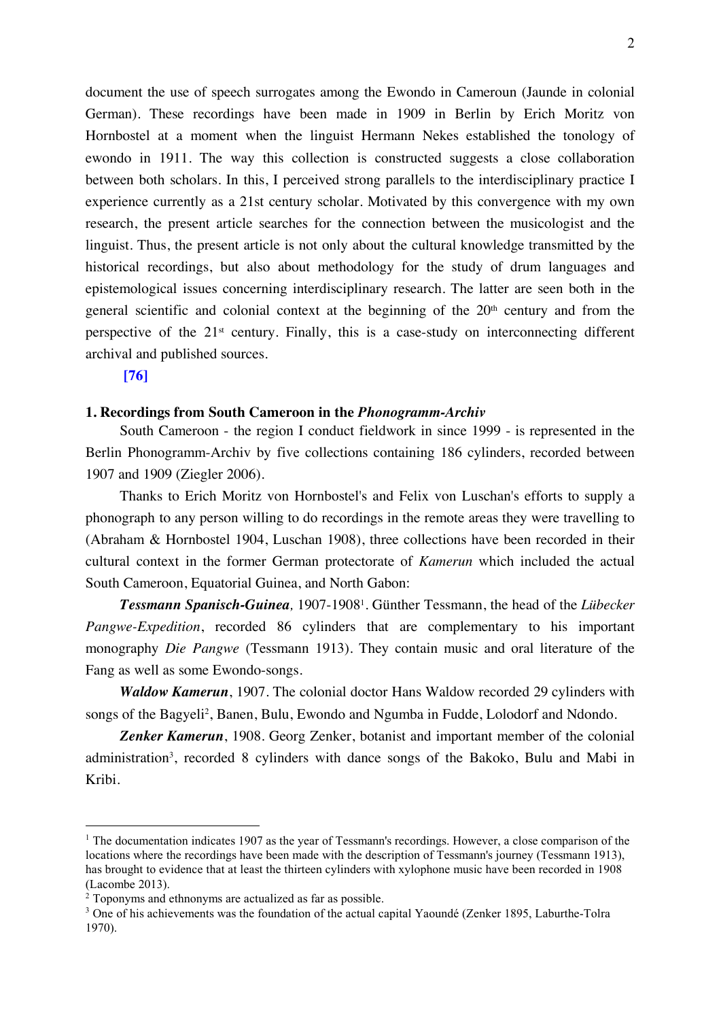document the use of speech surrogates among the Ewondo in Cameroun (Jaunde in colonial German). These recordings have been made in 1909 in Berlin by Erich Moritz von Hornbostel at a moment when the linguist Hermann Nekes established the tonology of ewondo in 1911. The way this collection is constructed suggests a close collaboration between both scholars. In this, I perceived strong parallels to the interdisciplinary practice I experience currently as a 21st century scholar. Motivated by this convergence with my own research, the present article searches for the connection between the musicologist and the linguist. Thus, the present article is not only about the cultural knowledge transmitted by the historical recordings, but also about methodology for the study of drum languages and epistemological issues concerning interdisciplinary research. The latter are seen both in the general scientific and colonial context at the beginning of the  $20<sup>th</sup>$  century and from the perspective of the  $21<sup>st</sup>$  century. Finally, this is a case-study on interconnecting different archival and published sources.

**[76]** 

# **1. Recordings from South Cameroon in the** *Phonogramm-Archiv*

South Cameroon - the region I conduct fieldwork in since 1999 - is represented in the Berlin Phonogramm-Archiv by five collections containing 186 cylinders, recorded between 1907 and 1909 (Ziegler 2006).

Thanks to Erich Moritz von Hornbostel's and Felix von Luschan's efforts to supply a phonograph to any person willing to do recordings in the remote areas they were travelling to (Abraham & Hornbostel 1904, Luschan 1908), three collections have been recorded in their cultural context in the former German protectorate of *Kamerun* which included the actual South Cameroon, Equatorial Guinea, and North Gabon:

*Tessmann Spanisch-Guinea,* 1907-19081. Günther Tessmann, the head of the *Lübecker Pangwe-Expedition*, recorded 86 cylinders that are complementary to his important monography *Die Pangwe* (Tessmann 1913). They contain music and oral literature of the Fang as well as some Ewondo-songs.

*Waldow Kamerun*, 1907. The colonial doctor Hans Waldow recorded 29 cylinders with songs of the Bagyeli<sup>2</sup>, Banen, Bulu, Ewondo and Ngumba in Fudde, Lolodorf and Ndondo.

*Zenker Kamerun*, 1908. Georg Zenker, botanist and important member of the colonial administration<sup>3</sup>, recorded 8 cylinders with dance songs of the Bakoko, Bulu and Mabi in Kribi.

<sup>&</sup>lt;sup>1</sup> The documentation indicates 1907 as the year of Tessmann's recordings. However, a close comparison of the locations where the recordings have been made with the description of Tessmann's journey (Tessmann 1913), has brought to evidence that at least the thirteen cylinders with xylophone music have been recorded in 1908 (Lacombe 2013).

<sup>2</sup> Toponyms and ethnonyms are actualized as far as possible.

<sup>&</sup>lt;sup>3</sup> One of his achievements was the foundation of the actual capital Yaoundé (Zenker 1895, Laburthe-Tolra 1970).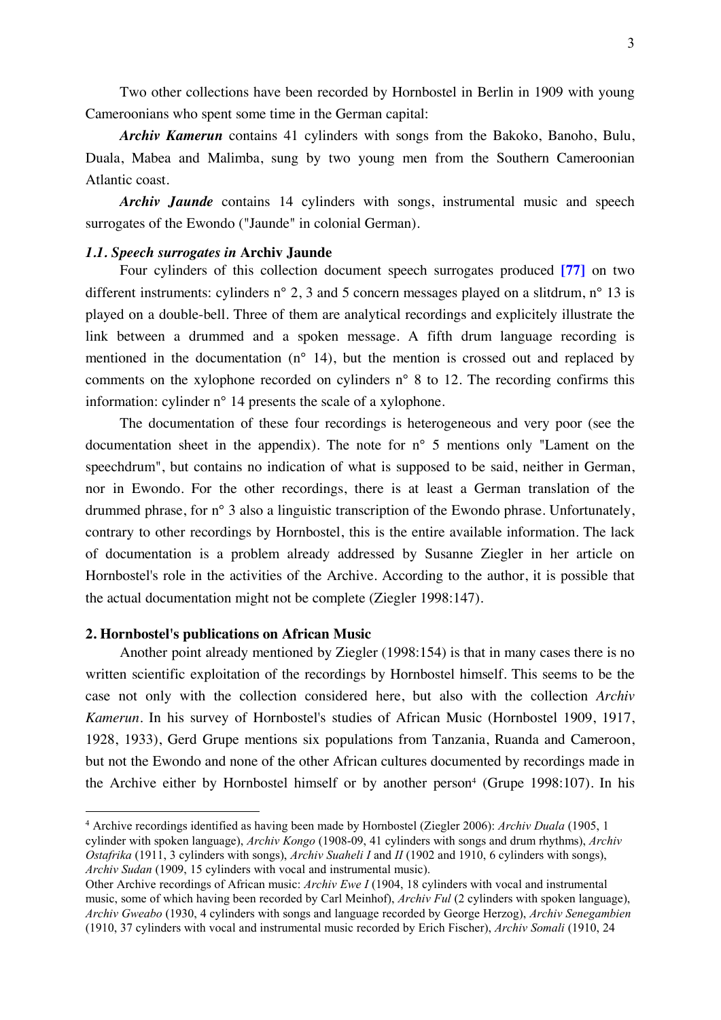Two other collections have been recorded by Hornbostel in Berlin in 1909 with young Cameroonians who spent some time in the German capital:

*Archiv Kamerun* contains 41 cylinders with songs from the Bakoko, Banoho, Bulu, Duala, Mabea and Malimba, sung by two young men from the Southern Cameroonian Atlantic coast.

*Archiv Jaunde* contains 14 cylinders with songs, instrumental music and speech surrogates of the Ewondo ("Jaunde" in colonial German).

# *1.1. Speech surrogates in* **Archiv Jaunde**

Four cylinders of this collection document speech surrogates produced **[77]** on two different instruments: cylinders n° 2, 3 and 5 concern messages played on a slitdrum, n° 13 is played on a double-bell. Three of them are analytical recordings and explicitely illustrate the link between a drummed and a spoken message. A fifth drum language recording is mentioned in the documentation (n° 14), but the mention is crossed out and replaced by comments on the xylophone recorded on cylinders n° 8 to 12. The recording confirms this information: cylinder n° 14 presents the scale of a xylophone.

The documentation of these four recordings is heterogeneous and very poor (see the documentation sheet in the appendix). The note for n° 5 mentions only "Lament on the speechdrum", but contains no indication of what is supposed to be said, neither in German, nor in Ewondo. For the other recordings, there is at least a German translation of the drummed phrase, for n° 3 also a linguistic transcription of the Ewondo phrase. Unfortunately, contrary to other recordings by Hornbostel, this is the entire available information. The lack of documentation is a problem already addressed by Susanne Ziegler in her article on Hornbostel's role in the activities of the Archive. According to the author, it is possible that the actual documentation might not be complete (Ziegler 1998:147).

## **2. Hornbostel's publications on African Music**

Another point already mentioned by Ziegler (1998:154) is that in many cases there is no written scientific exploitation of the recordings by Hornbostel himself. This seems to be the case not only with the collection considered here, but also with the collection *Archiv Kamerun*. In his survey of Hornbostel's studies of African Music (Hornbostel 1909, 1917, 1928, 1933), Gerd Grupe mentions six populations from Tanzania, Ruanda and Cameroon, but not the Ewondo and none of the other African cultures documented by recordings made in the Archive either by Hornbostel himself or by another person<sup>4</sup> (Grupe 1998:107). In his

 <sup>4</sup> Archive recordings identified as having been made by Hornbostel (Ziegler 2006): *Archiv Duala* (1905, 1 cylinder with spoken language), *Archiv Kongo* (1908-09, 41 cylinders with songs and drum rhythms), *Archiv Ostafrika* (1911, 3 cylinders with songs), *Archiv Suaheli I* and *II* (1902 and 1910, 6 cylinders with songs), *Archiv Sudan* (1909, 15 cylinders with vocal and instrumental music).

Other Archive recordings of African music: *Archiv Ewe I* (1904, 18 cylinders with vocal and instrumental music, some of which having been recorded by Carl Meinhof), *Archiv Ful* (2 cylinders with spoken language), *Archiv Gweabo* (1930, 4 cylinders with songs and language recorded by George Herzog), *Archiv Senegambien* (1910, 37 cylinders with vocal and instrumental music recorded by Erich Fischer), *Archiv Somali* (1910, 24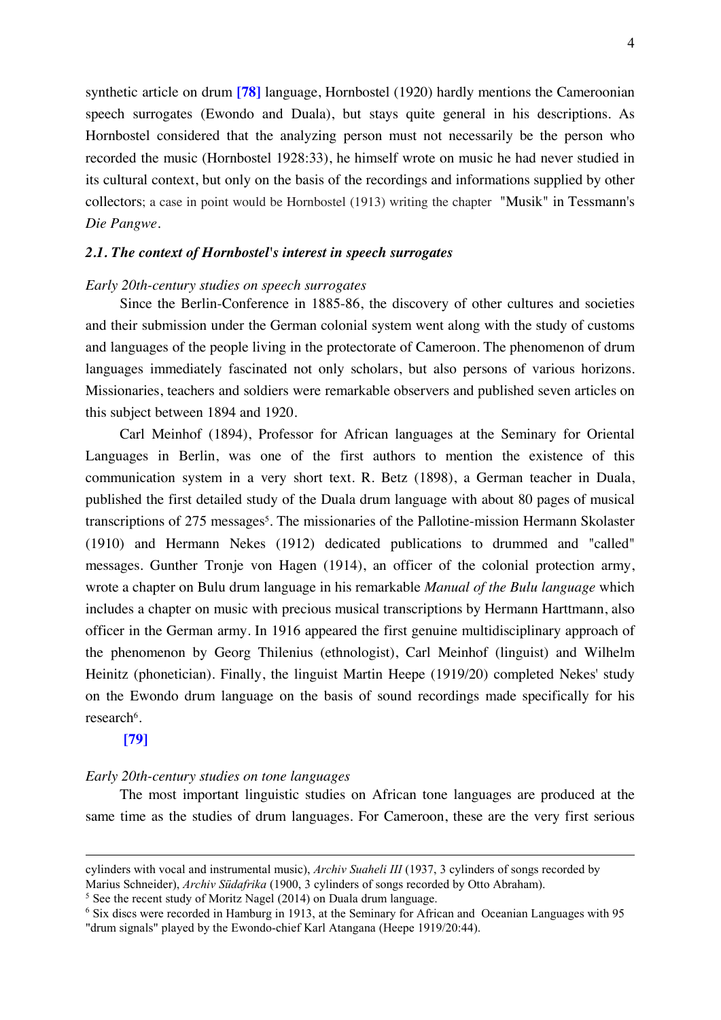synthetic article on drum **[78]** language, Hornbostel (1920) hardly mentions the Cameroonian speech surrogates (Ewondo and Duala), but stays quite general in his descriptions. As Hornbostel considered that the analyzing person must not necessarily be the person who recorded the music (Hornbostel 1928:33), he himself wrote on music he had never studied in its cultural context, but only on the basis of the recordings and informations supplied by other collectors; a case in point would be Hornbostel (1913) writing the chapter "Musik" in Tessmann's *Die Pangwe*.

# *2.1. The context of Hornbostel's interest in speech surrogates*

# *Early 20th-century studies on speech surrogates*

Since the Berlin-Conference in 1885-86, the discovery of other cultures and societies and their submission under the German colonial system went along with the study of customs and languages of the people living in the protectorate of Cameroon. The phenomenon of drum languages immediately fascinated not only scholars, but also persons of various horizons. Missionaries, teachers and soldiers were remarkable observers and published seven articles on this subject between 1894 and 1920.

Carl Meinhof (1894), Professor for African languages at the Seminary for Oriental Languages in Berlin, was one of the first authors to mention the existence of this communication system in a very short text. R. Betz (1898), a German teacher in Duala, published the first detailed study of the Duala drum language with about 80 pages of musical transcriptions of 275 messages<sup>5</sup>. The missionaries of the Pallotine-mission Hermann Skolaster (1910) and Hermann Nekes (1912) dedicated publications to drummed and "called" messages. Gunther Tronje von Hagen (1914), an officer of the colonial protection army, wrote a chapter on Bulu drum language in his remarkable *Manual of the Bulu language* which includes a chapter on music with precious musical transcriptions by Hermann Harttmann, also officer in the German army. In 1916 appeared the first genuine multidisciplinary approach of the phenomenon by Georg Thilenius (ethnologist), Carl Meinhof (linguist) and Wilhelm Heinitz (phonetician). Finally, the linguist Martin Heepe (1919/20) completed Nekes' study on the Ewondo drum language on the basis of sound recordings made specifically for his research<sup>6</sup>.

# **[79]**

 $\overline{a}$ 

### *Early 20th-century studies on tone languages*

The most important linguistic studies on African tone languages are produced at the same time as the studies of drum languages. For Cameroon, these are the very first serious

cylinders with vocal and instrumental music), *Archiv Suaheli III* (1937, 3 cylinders of songs recorded by Marius Schneider), *Archiv Südafrika* (1900, 3 cylinders of songs recorded by Otto Abraham).

<sup>5</sup> See the recent study of Moritz Nagel (2014) on Duala drum language.

<sup>6</sup> Six discs were recorded in Hamburg in 1913, at the Seminary for African and Oceanian Languages with 95 "drum signals" played by the Ewondo-chief Karl Atangana (Heepe 1919/20:44).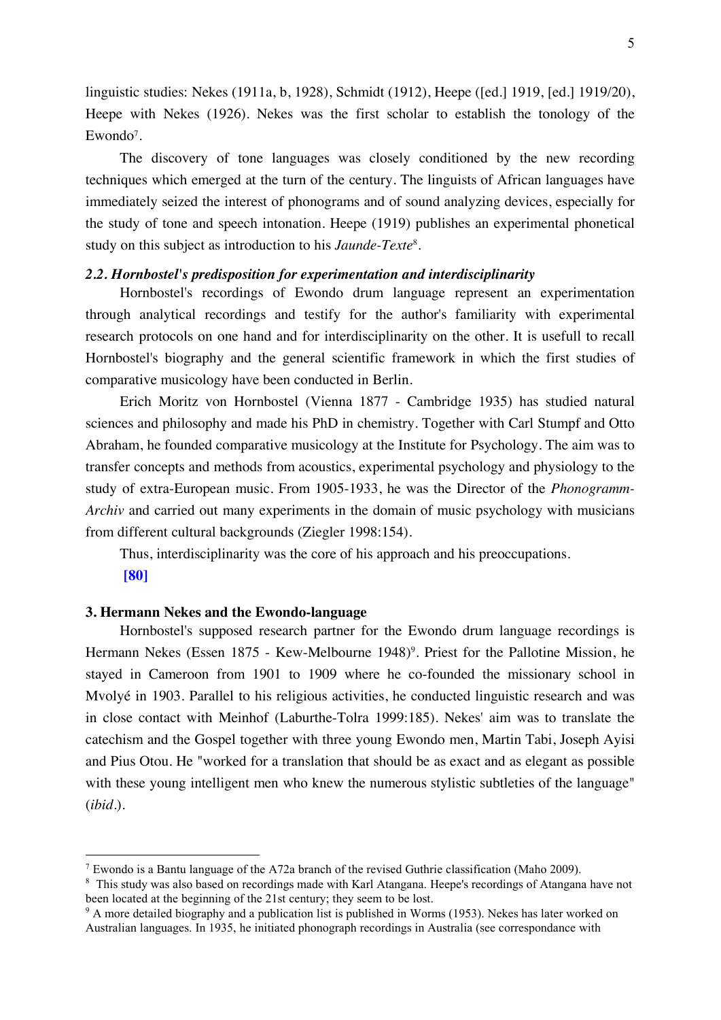linguistic studies: Nekes (1911a, b, 1928), Schmidt (1912), Heepe ([ed.] 1919, [ed.] 1919/20), Heepe with Nekes (1926). Nekes was the first scholar to establish the tonology of the  $E$ wondo<sup>7</sup>.

The discovery of tone languages was closely conditioned by the new recording techniques which emerged at the turn of the century. The linguists of African languages have immediately seized the interest of phonograms and of sound analyzing devices, especially for the study of tone and speech intonation. Heepe (1919) publishes an experimental phonetical study on this subject as introduction to his *Jaunde-Texte*8.

# *2.2. Hornbostel's predisposition for experimentation and interdisciplinarity*

Hornbostel's recordings of Ewondo drum language represent an experimentation through analytical recordings and testify for the author's familiarity with experimental research protocols on one hand and for interdisciplinarity on the other. It is usefull to recall Hornbostel's biography and the general scientific framework in which the first studies of comparative musicology have been conducted in Berlin.

Erich Moritz von Hornbostel (Vienna 1877 - Cambridge 1935) has studied natural sciences and philosophy and made his PhD in chemistry. Together with Carl Stumpf and Otto Abraham, he founded comparative musicology at the Institute for Psychology. The aim was to transfer concepts and methods from acoustics, experimental psychology and physiology to the study of extra-European music. From 1905-1933, he was the Director of the *Phonogramm-Archiv* and carried out many experiments in the domain of music psychology with musicians from different cultural backgrounds (Ziegler 1998:154).

Thus, interdisciplinarity was the core of his approach and his preoccupations. **[80]** 

# **3. Hermann Nekes and the Ewondo-language**

Hornbostel's supposed research partner for the Ewondo drum language recordings is Hermann Nekes (Essen 1875 - Kew-Melbourne 1948)<sup>9</sup>. Priest for the Pallotine Mission, he stayed in Cameroon from 1901 to 1909 where he co-founded the missionary school in Mvolyé in 1903. Parallel to his religious activities, he conducted linguistic research and was in close contact with Meinhof (Laburthe-Tolra 1999:185). Nekes' aim was to translate the catechism and the Gospel together with three young Ewondo men, Martin Tabi, Joseph Ayisi and Pius Otou. He "worked for a translation that should be as exact and as elegant as possible with these young intelligent men who knew the numerous stylistic subtleties of the language" (*ibid*.).

 <sup>7</sup> Ewondo is a Bantu language of the A72a branch of the revised Guthrie classification (Maho 2009).

<sup>&</sup>lt;sup>8</sup> This study was also based on recordings made with Karl Atangana. Heepe's recordings of Atangana have not been located at the beginning of the 21st century; they seem to be lost.

<sup>&</sup>lt;sup>9</sup> A more detailed biography and a publication list is published in Worms (1953). Nekes has later worked on Australian languages. In 1935, he initiated phonograph recordings in Australia (see correspondance with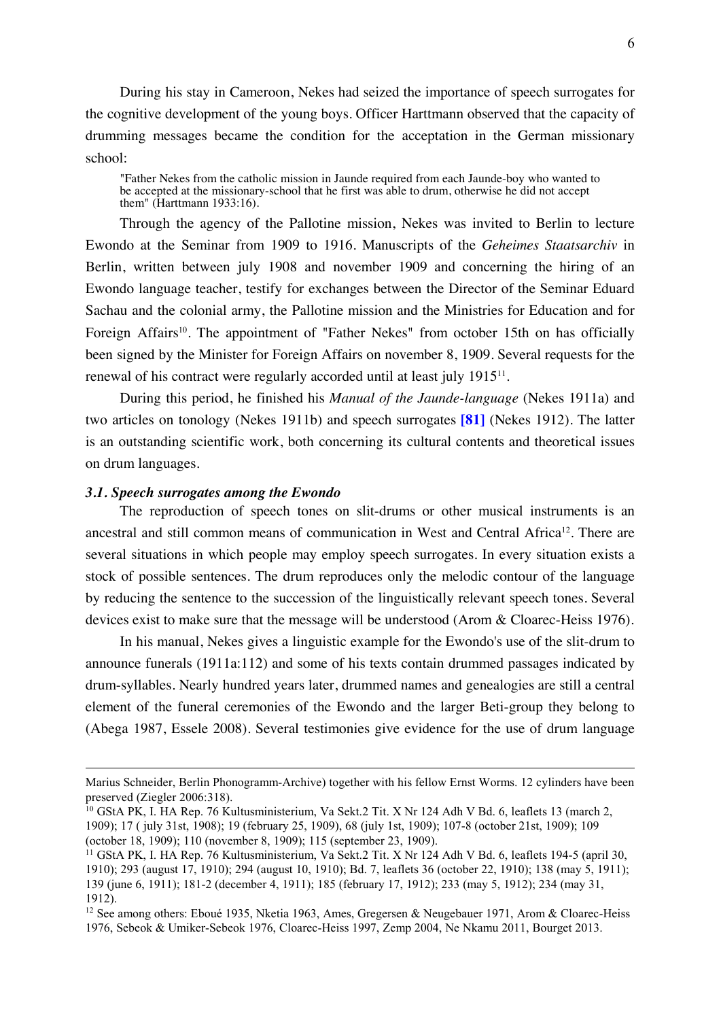During his stay in Cameroon, Nekes had seized the importance of speech surrogates for the cognitive development of the young boys. Officer Harttmann observed that the capacity of drumming messages became the condition for the acceptation in the German missionary school:

"Father Nekes from the catholic mission in Jaunde required from each Jaunde-boy who wanted to be accepted at the missionary-school that he first was able to drum, otherwise he did not accept them" (Harttmann 1933:16).

Through the agency of the Pallotine mission, Nekes was invited to Berlin to lecture Ewondo at the Seminar from 1909 to 1916. Manuscripts of the *Geheimes Staatsarchiv* in Berlin, written between july 1908 and november 1909 and concerning the hiring of an Ewondo language teacher, testify for exchanges between the Director of the Seminar Eduard Sachau and the colonial army, the Pallotine mission and the Ministries for Education and for Foreign Affairs<sup>10</sup>. The appointment of "Father Nekes" from october 15th on has officially been signed by the Minister for Foreign Affairs on november 8, 1909. Several requests for the renewal of his contract were regularly accorded until at least july 191511.

During this period, he finished his *Manual of the Jaunde-language* (Nekes 1911a) and two articles on tonology (Nekes 1911b) and speech surrogates **[81]** (Nekes 1912). The latter is an outstanding scientific work, both concerning its cultural contents and theoretical issues on drum languages.

## *3.1. Speech surrogates among the Ewondo*

 $\overline{a}$ 

The reproduction of speech tones on slit-drums or other musical instruments is an ancestral and still common means of communication in West and Central Africa12. There are several situations in which people may employ speech surrogates. In every situation exists a stock of possible sentences. The drum reproduces only the melodic contour of the language by reducing the sentence to the succession of the linguistically relevant speech tones. Several devices exist to make sure that the message will be understood (Arom & Cloarec-Heiss 1976).

In his manual, Nekes gives a linguistic example for the Ewondo's use of the slit-drum to announce funerals (1911a:112) and some of his texts contain drummed passages indicated by drum-syllables. Nearly hundred years later, drummed names and genealogies are still a central element of the funeral ceremonies of the Ewondo and the larger Beti-group they belong to (Abega 1987, Essele 2008). Several testimonies give evidence for the use of drum language

Marius Schneider, Berlin Phonogramm-Archive) together with his fellow Ernst Worms. 12 cylinders have been preserved (Ziegler 2006:318).

<sup>&</sup>lt;sup>10</sup> GStA PK, I. HA Rep. 76 Kultusministerium, Va Sekt.2 Tit. X Nr 124 Adh V Bd. 6, leaflets 13 (march 2, 1909); 17 ( july 31st, 1908); 19 (february 25, 1909), 68 (july 1st, 1909); 107-8 (october 21st, 1909); 109

<sup>(</sup>october 18, 1909); 110 (november 8, 1909); 115 (september 23, 1909).

<sup>&</sup>lt;sup>11</sup> GStA PK, I. HA Rep. 76 Kultusministerium, Va Sekt.2 Tit. X Nr 124 Adh V Bd. 6, leaflets 194-5 (april 30, 1910); 293 (august 17, 1910); 294 (august 10, 1910); Bd. 7, leaflets 36 (october 22, 1910); 138 (may 5, 1911); 139 (june 6, 1911); 181-2 (december 4, 1911); 185 (february 17, 1912); 233 (may 5, 1912); 234 (may 31, 1912).

<sup>&</sup>lt;sup>12</sup> See among others: Eboué 1935, Nketia 1963, Ames, Gregersen & Neugebauer 1971, Arom & Cloarec-Heiss 1976, Sebeok & Umiker-Sebeok 1976, Cloarec-Heiss 1997, Zemp 2004, Ne Nkamu 2011, Bourget 2013.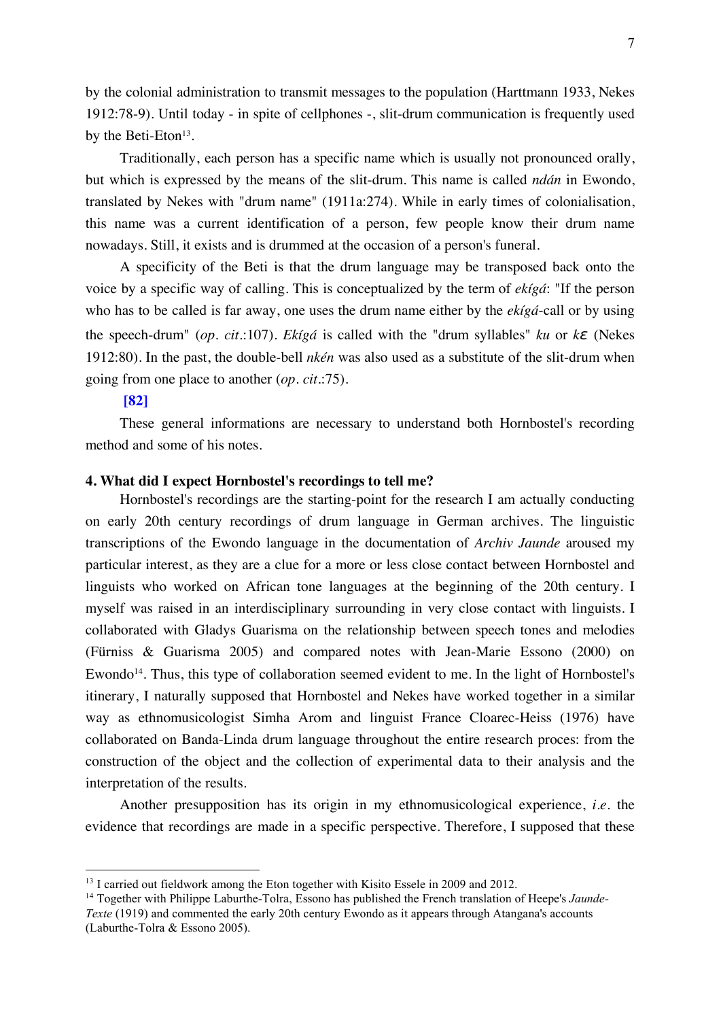by the colonial administration to transmit messages to the population (Harttmann 1933, Nekes 1912:78-9). Until today - in spite of cellphones -, slit-drum communication is frequently used by the Beti-Eton<sup>13</sup>.

Traditionally, each person has a specific name which is usually not pronounced orally, but which is expressed by the means of the slit-drum. This name is called *ndán* in Ewondo, translated by Nekes with "drum name" (1911a:274). While in early times of colonialisation, this name was a current identification of a person, few people know their drum name nowadays. Still, it exists and is drummed at the occasion of a person's funeral.

A specificity of the Beti is that the drum language may be transposed back onto the voice by a specific way of calling. This is conceptualized by the term of *ekígá*: "If the person who has to be called is far away, one uses the drum name either by the *ekígá*-call or by using the speech-drum" (*op. cit.*:107). *Ekígá* is called with the "drum syllables" *ku* or *kɛ* (Nekes 1912:80). In the past, the double-bell *nkén* was also used as a substitute of the slit-drum when going from one place to another (*op. cit.*:75).

# **[82]**

These general informations are necessary to understand both Hornbostel's recording method and some of his notes.

# **4. What did I expect Hornbostel's recordings to tell me?**

Hornbostel's recordings are the starting-point for the research I am actually conducting on early 20th century recordings of drum language in German archives. The linguistic transcriptions of the Ewondo language in the documentation of *Archiv Jaunde* aroused my particular interest, as they are a clue for a more or less close contact between Hornbostel and linguists who worked on African tone languages at the beginning of the 20th century. I myself was raised in an interdisciplinary surrounding in very close contact with linguists. I collaborated with Gladys Guarisma on the relationship between speech tones and melodies (Fürniss & Guarisma 2005) and compared notes with Jean-Marie Essono (2000) on Ewondo<sup>14</sup>. Thus, this type of collaboration seemed evident to me. In the light of Hornbostel's itinerary, I naturally supposed that Hornbostel and Nekes have worked together in a similar way as ethnomusicologist Simha Arom and linguist France Cloarec-Heiss (1976) have collaborated on Banda-Linda drum language throughout the entire research proces: from the construction of the object and the collection of experimental data to their analysis and the interpretation of the results.

Another presupposition has its origin in my ethnomusicological experience, *i.e.* the evidence that recordings are made in a specific perspective. Therefore, I supposed that these

<sup>&</sup>lt;sup>13</sup> I carried out fieldwork among the Eton together with Kisito Essele in 2009 and 2012.

<sup>14</sup> Together with Philippe Laburthe-Tolra, Essono has published the French translation of Heepe's *Jaunde-Texte* (1919) and commented the early 20th century Ewondo as it appears through Atangana's accounts (Laburthe-Tolra & Essono 2005).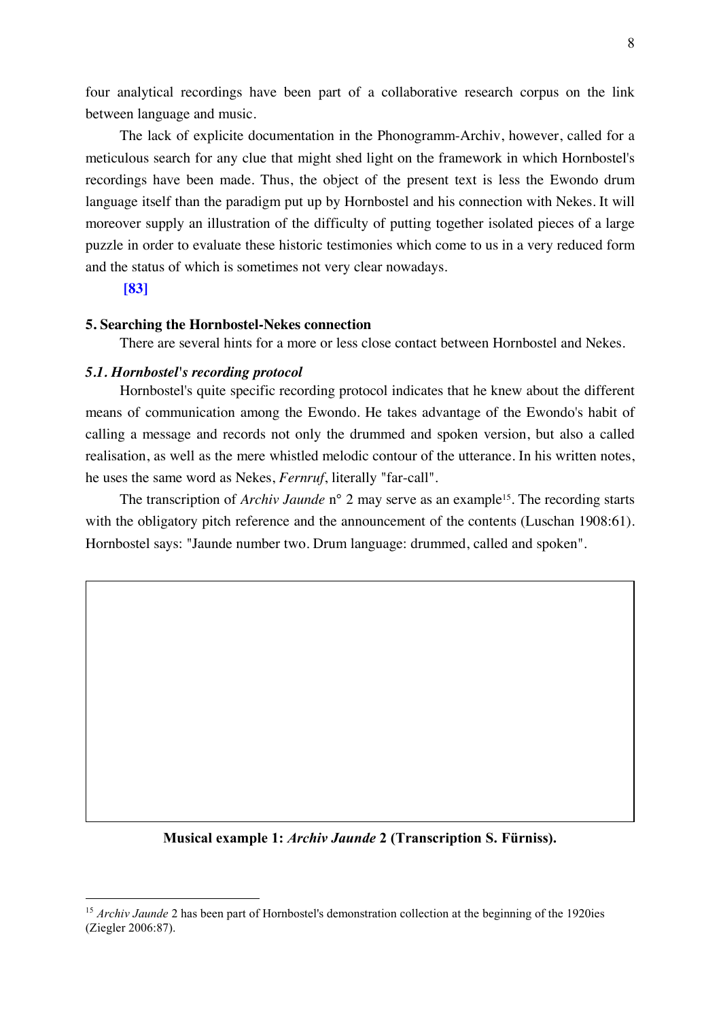four analytical recordings have been part of a collaborative research corpus on the link between language and music.

The lack of explicite documentation in the Phonogramm-Archiv, however, called for a meticulous search for any clue that might shed light on the framework in which Hornbostel's recordings have been made. Thus, the object of the present text is less the Ewondo drum language itself than the paradigm put up by Hornbostel and his connection with Nekes. It will moreover supply an illustration of the difficulty of putting together isolated pieces of a large puzzle in order to evaluate these historic testimonies which come to us in a very reduced form and the status of which is sometimes not very clear nowadays.

# **[83]**

# **5. Searching the Hornbostel-Nekes connection**

There are several hints for a more or less close contact between Hornbostel and Nekes.

# *5.1. Hornbostel's recording protocol*

Hornbostel's quite specific recording protocol indicates that he knew about the different means of communication among the Ewondo. He takes advantage of the Ewondo's habit of calling a message and records not only the drummed and spoken version, but also a called realisation, as well as the mere whistled melodic contour of the utterance. In his written notes, he uses the same word as Nekes, *Fernruf*, literally "far-call".

The transcription of *Archiv Jaunde* n° 2 may serve as an example<sup>15</sup>. The recording starts with the obligatory pitch reference and the announcement of the contents (Luschan 1908:61). Hornbostel says: "Jaunde number two. Drum language: drummed, called and spoken".

# **Musical example 1:** *Archiv Jaunde* **2 (Transcription S. Fürniss).**

<sup>&</sup>lt;sup>15</sup> *Archiv Jaunde* 2 has been part of Hornbostel's demonstration collection at the beginning of the 1920ies (Ziegler 2006:87).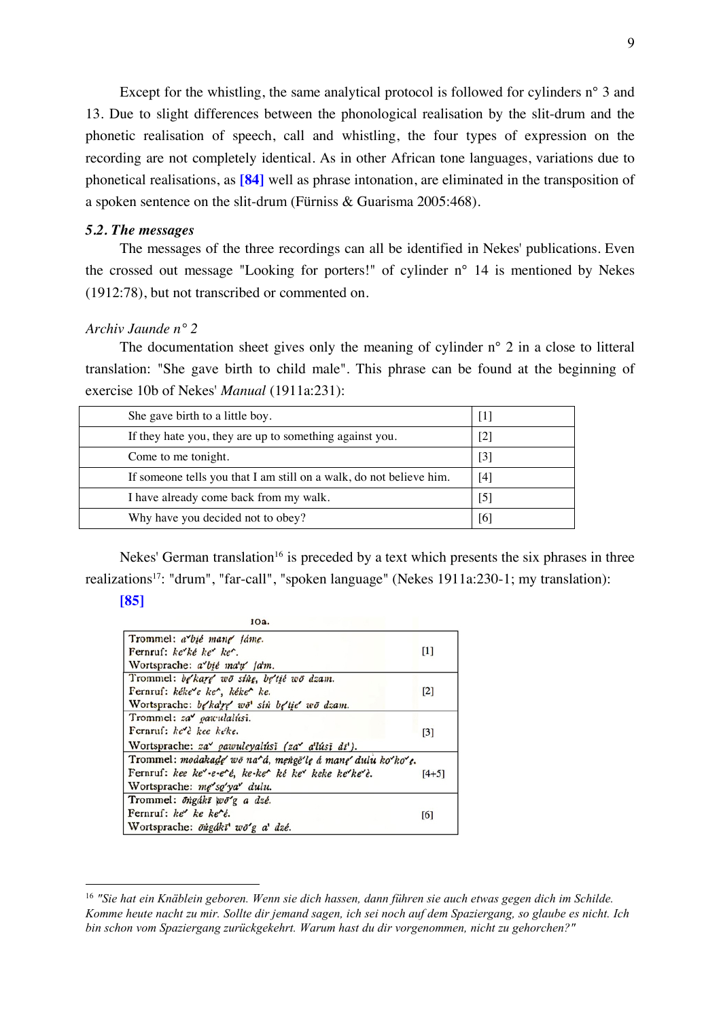Except for the whistling, the same analytical protocol is followed for cylinders n° 3 and 13. Due to slight differences between the phonological realisation by the slit-drum and the phonetic realisation of speech, call and whistling, the four types of expression on the recording are not completely identical. As in other African tone languages, variations due to phonetical realisations, as **[84]** well as phrase intonation, are eliminated in the transposition of a spoken sentence on the slit-drum (Fürniss & Guarisma 2005:468).

# *5.2. The messages*

The messages of the three recordings can all be identified in Nekes' publications. Even the crossed out message "Looking for porters!" of cylinder n° 14 is mentioned by Nekes (1912:78), but not transcribed or commented on.

# *Archiv Jaunde n° 2*

The documentation sheet gives only the meaning of cylinder n<sup>o</sup> 2 in a close to litteral translation: "She gave birth to child male". This phrase can be found at the beginning of exercise 10b of Nekes' *Manual* (1911a:231):

| She gave birth to a little boy.                                     | $\vert \, \vert$             |
|---------------------------------------------------------------------|------------------------------|
| If they hate you, they are up to something against you.             | $\left[ 2\right]$            |
| Come to me tonight.                                                 | $\lceil 3 \rceil$            |
| If someone tells you that I am still on a walk, do not believe him. | $\left\lceil 4 \right\rceil$ |
| I have already come back from my walk.                              | 51                           |
| Why have you decided not to obey?                                   | 16                           |

Nekes' German translation<sup>16</sup> is preceded by a text which presents the six phrases in three realizations17: "drum", "far-call", "spoken language" (Nekes 1911a:230-1; my translation):

#### **[85]**

| юа.                                                             |         |
|-----------------------------------------------------------------|---------|
| Trommel: a bie mang fame.                                       |         |
| Fernruf: $ke^{\prime}ke^{\prime}$ $ke^{\prime}$ $ke^{\prime}$ . | $[1]$   |
| Wortsprache: a bie ma'n' fa'm.                                  |         |
| Trommel: be'kare' wō sine, be'tié wō dzam.                      |         |
| Fernruf: kéke e ke', kéke' ke.                                  | [2]     |
| Wortsprache: be kare wo' sin be tie wo dram.                    |         |
| Trommel: za <i>parculalúsi</i> .                                |         |
| Fernruf: ke'è kee kéke.                                         | $[3]$   |
| Wortsprache: za pawuleyalúsī (za a'lúsī dī').                   |         |
| Trommel: modakade wō na^á, mengē'le á mane dulu ko'ko'e.        |         |
| Fernruf: kee ke'-e-e''é, ke-ke'' ké ke'' keke ke''ke''è.        | $[4+5]$ |
| Wortsprache: me so'ya dulu.                                     |         |
| Trommel: öngáki wö'g a dzé.                                     |         |
| Fernruf: $ke^r$ ke ke'é.                                        | [6]     |
| Wortsprache: öngákī wō'g a' dzé.                                |         |

 <sup>16</sup> *"Sie hat ein Knäblein geboren. Wenn sie dich hassen, dann führen sie auch etwas gegen dich im Schilde. Komme heute nacht zu mir. Sollte dir jemand sagen, ich sei noch auf dem Spaziergang, so glaube es nicht. Ich bin schon vom Spaziergang zurückgekehrt. Warum hast du dir vorgenommen, nicht zu gehorchen?"*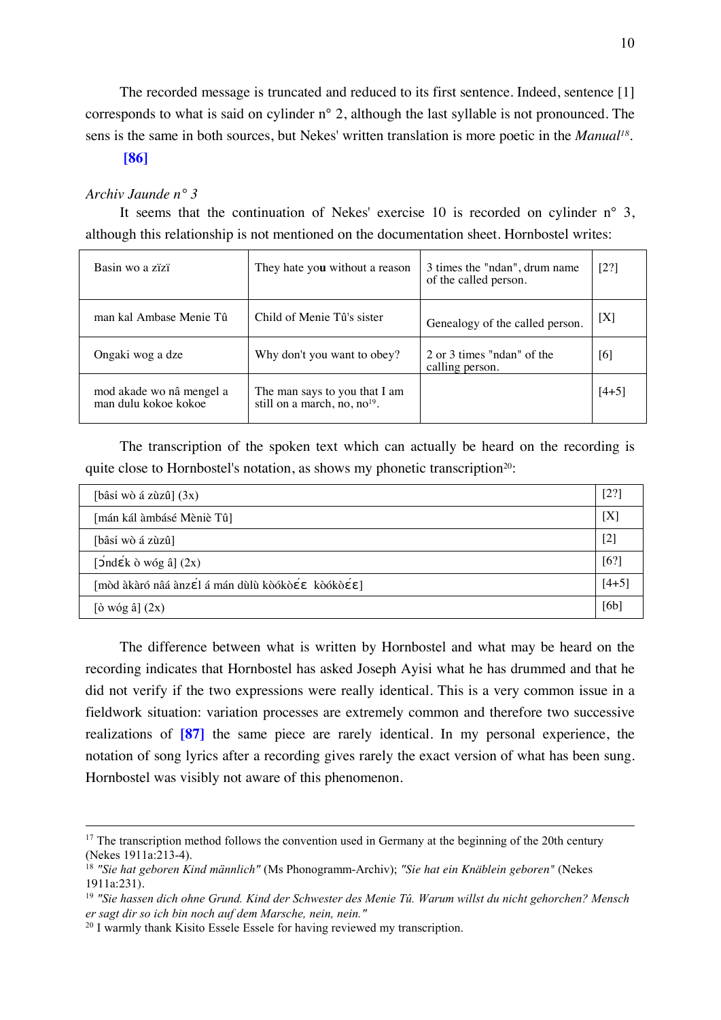The recorded message is truncated and reduced to its first sentence. Indeed, sentence [1] corresponds to what is said on cylinder n° 2, although the last syllable is not pronounced. The sens is the same in both sources, but Nekes' written translation is more poetic in the *Manual18*.

# **[86]**

# *Archiv Jaunde n° 3*

It seems that the continuation of Nekes' exercise 10 is recorded on cylinder n° 3, although this relationship is not mentioned on the documentation sheet. Hornbostel writes:

| Basin wo a zizi                                  | They hate you without a reason                                            | 3 times the "ndan", drum name<br>of the called person. | [2?]    |
|--------------------------------------------------|---------------------------------------------------------------------------|--------------------------------------------------------|---------|
| man kal Ambase Menie Tû                          | Child of Menie Tû's sister                                                | Genealogy of the called person.                        | [X]     |
| Ongaki wog a dze                                 | Why don't you want to obey?                                               | 2 or 3 times "ndan" of the<br>calling person.          | [6]     |
| mod akade wo nâ mengel a<br>man dulu kokoe kokoe | The man says to you that I am<br>still on a march, no, no <sup>19</sup> . |                                                        | $[4+5]$ |

The transcription of the spoken text which can actually be heard on the recording is quite close to Hornbostel's notation, as shows my phonetic transcription<sup>20</sup>:

| [bâsí wò á zùzû] $(3x)$                                                                                                    | $\left[2\right]$ |
|----------------------------------------------------------------------------------------------------------------------------|------------------|
| [mán kál àmbásé Mèniè Tû]                                                                                                  | [X]              |
| [bâsí wò á zùzû]                                                                                                           | [2]              |
| $\left[\right]$ ond $\left[\right]$ ond $\left[\right]$ ond $\left[\right]$ ond $\left[\right]$ ond $\left[\right]$ $(2x)$ | [6?]             |
| [mòd àkàró nâá ànzɛ́l á mán dùlù kòókòɛ́ɛ kòókòɛ́ɛ]                                                                        | $[4+5]$          |
| $\left[\dot{o} \text{ wóg } \hat{a}\right](2x)$                                                                            | [6b]             |

The difference between what is written by Hornbostel and what may be heard on the recording indicates that Hornbostel has asked Joseph Ayisi what he has drummed and that he did not verify if the two expressions were really identical. This is a very common issue in a fieldwork situation: variation processes are extremely common and therefore two successive realizations of **[87]** the same piece are rarely identical. In my personal experience, the notation of song lyrics after a recording gives rarely the exact version of what has been sung. Hornbostel was visibly not aware of this phenomenon.

<sup>&</sup>lt;sup>17</sup> The transcription method follows the convention used in Germany at the beginning of the 20th century (Nekes 1911a:213-4). 18 *"Sie hat geboren Kind männlich"* (Ms Phonogramm-Archiv); *"Sie hat ein Knäblein geboren"* (Nekes

<sup>1911</sup>a:231).

<sup>19</sup> *"Sie hassen dich ohne Grund. Kind der Schwester des Menie Tû. Warum willst du nicht gehorchen? Mensch er sagt dir so ich bin noch auf dem Marsche, nein, nein."*

<sup>&</sup>lt;sup>20</sup> I warmly thank Kisito Essele Essele for having reviewed my transcription.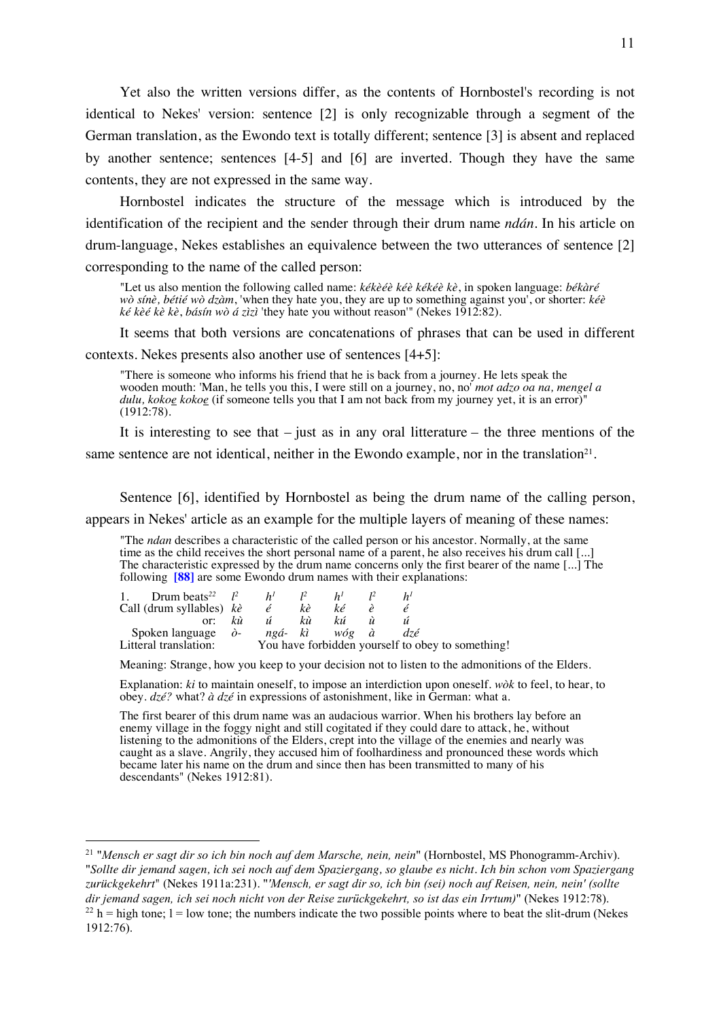Yet also the written versions differ, as the contents of Hornbostel's recording is not identical to Nekes' version: sentence [2] is only recognizable through a segment of the German translation, as the Ewondo text is totally different; sentence [3] is absent and replaced by another sentence; sentences [4-5] and [6] are inverted. Though they have the same contents, they are not expressed in the same way.

Hornbostel indicates the structure of the message which is introduced by the identification of the recipient and the sender through their drum name *ndán*. In his article on drum-language, Nekes establishes an equivalence between the two utterances of sentence [2] corresponding to the name of the called person:

"Let us also mention the following called name: *kékèéè kéè kékéè kè*, in spoken language: *békàré wò sínè, bétié wò dzàm*, 'when they hate you, they are up to something against you', or shorter: *kéè ké kèé kè kè*, *básín wò á zìzì* 'they hate you without reason'" (Nekes 1912:82).

It seems that both versions are concatenations of phrases that can be used in different contexts. Nekes presents also another use of sentences [4+5]:

"There is someone who informs his friend that he is back from a journey. He lets speak the wooden mouth: 'Man, he tells you this, I were still on a journey, no, no' *mot adzo oa na, mengel a dulu, kokoe kokoe* (if someone tells you that I am not back from my journey yet, it is an error)" (1912:78).

It is interesting to see that  $-$  just as in any oral litterature  $-$  the three mentions of the

same sentence are not identical, neither in the Ewondo example, nor in the translation<sup>21</sup>.

Sentence [6], identified by Hornbostel as being the drum name of the calling person,

appears in Nekes' article as an example for the multiple layers of meaning of these names:

"The *ndan* describes a characteristic of the called person or his ancestor. Normally, at the same time as the child receives the short personal name of a parent, he also receives his drum call [...] The characteristic expressed by the drum name concerns only the first bearer of the name [...] The following **[88]** are some Ewondo drum names with their explanations:

| 1. Drum beats <sup>22</sup> $l^2$ $h^1$ $l^2$         |             | h <sup>I</sup> |  |                                                   |
|-------------------------------------------------------|-------------|----------------|--|---------------------------------------------------|
| Call (drum syllables) $k\hat{e}$ $\hat{e}$ $k\hat{e}$ |             | ké             |  |                                                   |
|                                                       | or: kù ú kù | kú ù           |  |                                                   |
| Spoken language $\partial$ - ngá- kì wóg à dzé        |             |                |  |                                                   |
| Litteral translation:                                 |             |                |  | You have forbidden yourself to obey to something! |

Meaning: Strange, how you keep to your decision not to listen to the admonitions of the Elders.

Explanation: *ki* to maintain oneself, to impose an interdiction upon oneself. *wòk* to feel, to hear, to obey. *dzé?* what? *à dzé* in expressions of astonishment, like in German: what a.

The first bearer of this drum name was an audacious warrior. When his brothers lay before an enemy village in the foggy night and still cogitated if they could dare to attack, he, without listening to the admonitions of the Elders, crept into the village of the enemies and nearly was caught as a slave. Angrily, they accused him of foolhardiness and pronounced these words which became later his name on the drum and since then has been transmitted to many of his descendants" (Nekes 1912:81).

 <sup>21</sup> "*Mensch er sagt dir so ich bin noch auf dem Marsche, nein, nein*" (Hornbostel, MS Phonogramm-Archiv). "*Sollte dir jemand sagen, ich sei noch auf dem Spaziergang, so glaube es nicht. Ich bin schon vom Spaziergang zurückgekehrt*" (Nekes 1911a:231). "*'Mensch, er sagt dir so, ich bin (sei) noch auf Reisen, nein, nein' (sollte dir jemand sagen, ich sei noch nicht von der Reise zurückgekehrt, so ist das ein Irrtum)*" (Nekes 1912:78).  $^{22}$  h = high tone; l = low tone; the numbers indicate the two possible points where to beat the slit-drum (Nekes 1912:76).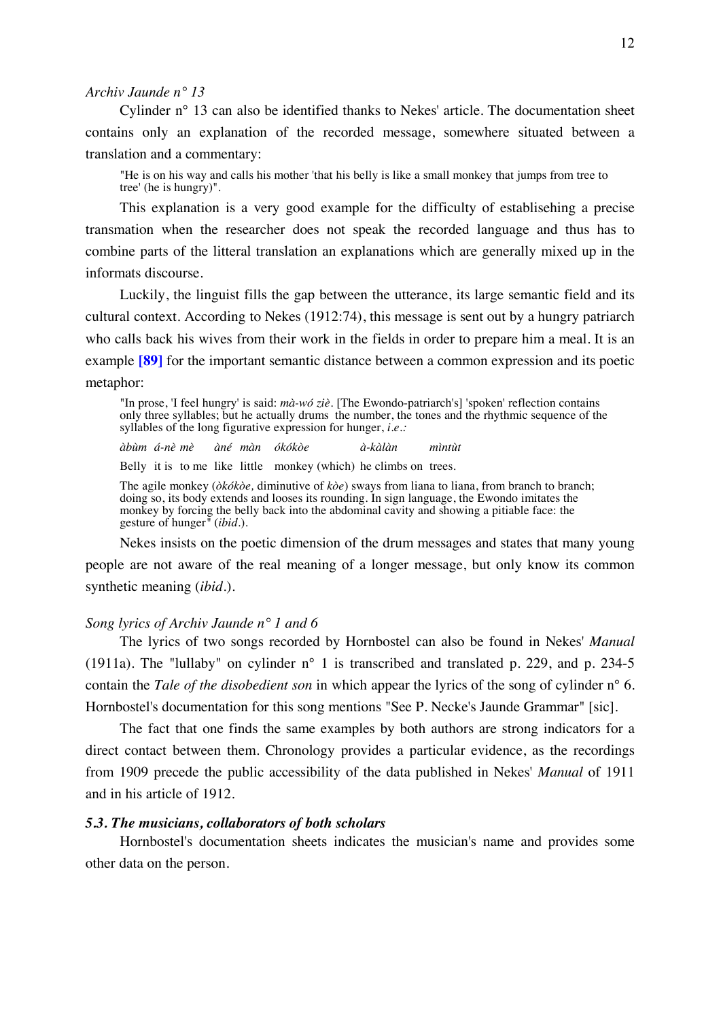# *Archiv Jaunde n° 13*

Cylinder n° 13 can also be identified thanks to Nekes' article. The documentation sheet contains only an explanation of the recorded message, somewhere situated between a translation and a commentary:

"He is on his way and calls his mother 'that his belly is like a small monkey that jumps from tree to tree' (he is hungry)".

This explanation is a very good example for the difficulty of establisehing a precise transmation when the researcher does not speak the recorded language and thus has to combine parts of the litteral translation an explanations which are generally mixed up in the informats discourse.

Luckily, the linguist fills the gap between the utterance, its large semantic field and its cultural context. According to Nekes (1912:74), this message is sent out by a hungry patriarch who calls back his wives from their work in the fields in order to prepare him a meal. It is an example **[89]** for the important semantic distance between a common expression and its poetic metaphor:

"In prose, 'I feel hungry' is said: *mà-wó ziè*. [The Ewondo-patriarch's] 'spoken' reflection contains only three syllables; but he actually drums the number, the tones and the rhythmic sequence of the syllables of the long figurative expression for hunger, *i.e*.*:*

*àbùm á-nè mè àné màn ókókòe à-kàlàn mìntùt*

Belly it is to me like little monkey (which) he climbs on trees.

The agile monkey (*òkókòe,* diminutive of *kòe*) sways from liana to liana, from branch to branch; doing so, its body extends and looses its rounding. In sign language, the Ewondo imitates the monkey by forcing the belly back into the abdominal cavity and showing a pitiable face: the gesture of hunger*"* (*ibid.*).

Nekes insists on the poetic dimension of the drum messages and states that many young people are not aware of the real meaning of a longer message, but only know its common synthetic meaning (*ibid.*).

# *Song lyrics of Archiv Jaunde n° 1 and 6*

The lyrics of two songs recorded by Hornbostel can also be found in Nekes' *Manual* (1911a). The "lullaby" on cylinder n° 1 is transcribed and translated p. 229, and p. 234-5 contain the *Tale of the disobedient son* in which appear the lyrics of the song of cylinder n° 6. Hornbostel's documentation for this song mentions "See P. Necke's Jaunde Grammar" [sic].

The fact that one finds the same examples by both authors are strong indicators for a direct contact between them. Chronology provides a particular evidence, as the recordings from 1909 precede the public accessibility of the data published in Nekes' *Manual* of 1911 and in his article of 1912.

# *5.3. The musicians, collaborators of both scholars*

Hornbostel's documentation sheets indicates the musician's name and provides some other data on the person.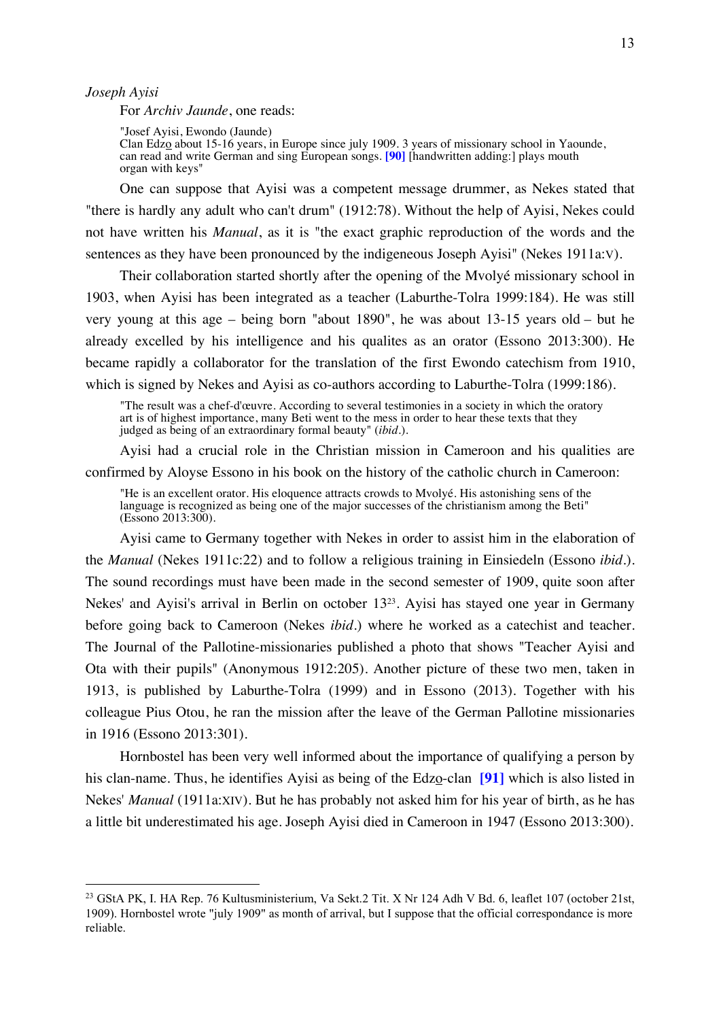*Joseph Ayisi*

For *Archiv Jaunde*, one reads:

"Josef Ayisi, Ewondo (Jaunde) Clan Edzo about 15-16 years, in Europe since july 1909. 3 years of missionary school in Yaounde, can read and write German and sing European songs. **[90]** [handwritten adding:] plays mouth organ with keys"

One can suppose that Ayisi was a competent message drummer, as Nekes stated that "there is hardly any adult who can't drum" (1912:78). Without the help of Ayisi, Nekes could not have written his *Manual*, as it is "the exact graphic reproduction of the words and the sentences as they have been pronounced by the indigeneous Joseph Ayisi" (Nekes 1911a:V).

Their collaboration started shortly after the opening of the Mvolyé missionary school in 1903, when Ayisi has been integrated as a teacher (Laburthe-Tolra 1999:184). He was still very young at this age – being born "about 1890", he was about 13-15 years old – but he already excelled by his intelligence and his qualites as an orator (Essono 2013:300). He became rapidly a collaborator for the translation of the first Ewondo catechism from 1910, which is signed by Nekes and Ayisi as co-authors according to Laburthe-Tolra (1999:186).

"The result was a chef-d'œuvre. According to several testimonies in a society in which the oratory art is of highest importance, many Beti went to the mess in order to hear these texts that they judged as being of an extraordinary formal beauty" (*ibid.*).

Ayisi had a crucial role in the Christian mission in Cameroon and his qualities are confirmed by Aloyse Essono in his book on the history of the catholic church in Cameroon:

"He is an excellent orator. His eloquence attracts crowds to Mvolyé. His astonishing sens of the language is recognized as being one of the major successes of the christianism among the Beti" (Essono 2013:300).

Ayisi came to Germany together with Nekes in order to assist him in the elaboration of the *Manual* (Nekes 1911c:22) and to follow a religious training in Einsiedeln (Essono *ibid.*). The sound recordings must have been made in the second semester of 1909, quite soon after Nekes' and Ayisi's arrival in Berlin on october 1323. Ayisi has stayed one year in Germany before going back to Cameroon (Nekes *ibid.*) where he worked as a catechist and teacher. The Journal of the Pallotine-missionaries published a photo that shows "Teacher Ayisi and Ota with their pupils" (Anonymous 1912:205). Another picture of these two men, taken in 1913, is published by Laburthe-Tolra (1999) and in Essono (2013). Together with his colleague Pius Otou, he ran the mission after the leave of the German Pallotine missionaries in 1916 (Essono 2013:301).

Hornbostel has been very well informed about the importance of qualifying a person by his clan-name. Thus, he identifies Ayisi as being of the Edzo-clan **[91]** which is also listed in Nekes' *Manual* (1911a:XIV). But he has probably not asked him for his year of birth, as he has a little bit underestimated his age. Joseph Ayisi died in Cameroon in 1947 (Essono 2013:300).

<sup>&</sup>lt;sup>23</sup> GStA PK, I. HA Rep. 76 Kultusministerium, Va Sekt.2 Tit. X Nr 124 Adh V Bd. 6, leaflet 107 (october 21st, 1909). Hornbostel wrote "july 1909" as month of arrival, but I suppose that the official correspondance is more reliable.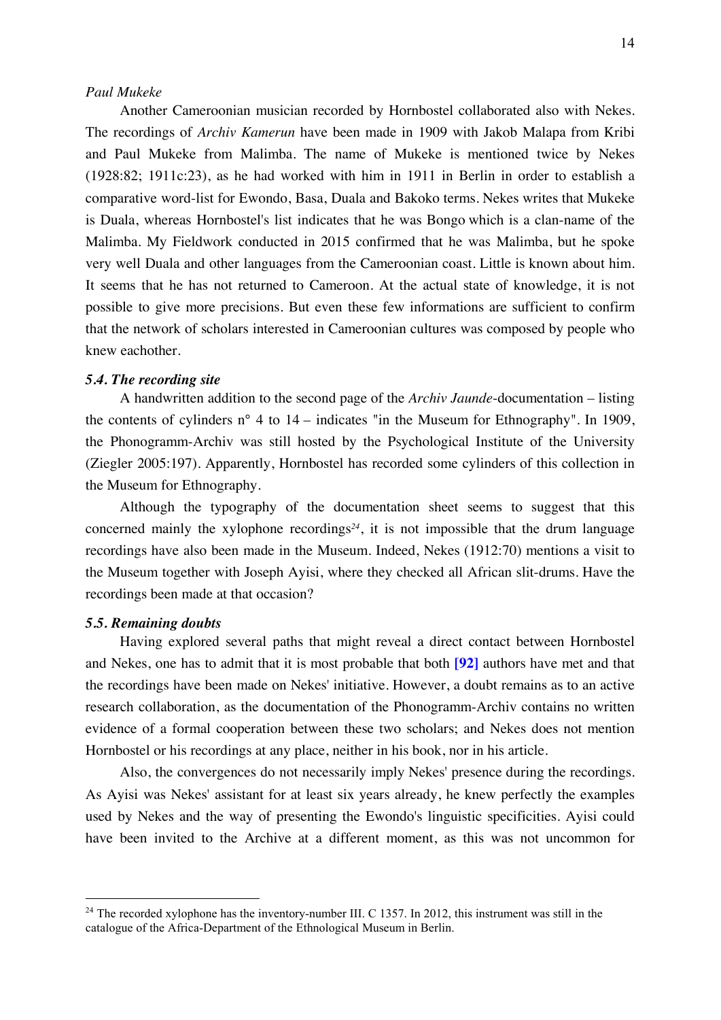# *Paul Mukeke*

Another Cameroonian musician recorded by Hornbostel collaborated also with Nekes. The recordings of *Archiv Kamerun* have been made in 1909 with Jakob Malapa from Kribi and Paul Mukeke from Malimba. The name of Mukeke is mentioned twice by Nekes (1928:82; 1911c:23), as he had worked with him in 1911 in Berlin in order to establish a comparative word-list for Ewondo, Basa, Duala and Bakoko terms. Nekes writes that Mukeke is Duala, whereas Hornbostel's list indicates that he was Bongo which is a clan-name of the Malimba. My Fieldwork conducted in 2015 confirmed that he was Malimba, but he spoke very well Duala and other languages from the Cameroonian coast. Little is known about him. It seems that he has not returned to Cameroon. At the actual state of knowledge, it is not possible to give more precisions. But even these few informations are sufficient to confirm that the network of scholars interested in Cameroonian cultures was composed by people who knew eachother.

# *5.4. The recording site*

A handwritten addition to the second page of the *Archiv Jaunde*-documentation – listing the contents of cylinders n° 4 to 14 – indicates "in the Museum for Ethnography". In 1909, the Phonogramm-Archiv was still hosted by the Psychological Institute of the University (Ziegler 2005:197). Apparently, Hornbostel has recorded some cylinders of this collection in the Museum for Ethnography.

Although the typography of the documentation sheet seems to suggest that this concerned mainly the xylophone recordings<sup>24</sup>, it is not impossible that the drum language recordings have also been made in the Museum. Indeed, Nekes (1912:70) mentions a visit to the Museum together with Joseph Ayisi, where they checked all African slit-drums. Have the recordings been made at that occasion?

# *5.5. Remaining doubts*

Having explored several paths that might reveal a direct contact between Hornbostel and Nekes, one has to admit that it is most probable that both **[92]** authors have met and that the recordings have been made on Nekes' initiative. However, a doubt remains as to an active research collaboration, as the documentation of the Phonogramm-Archiv contains no written evidence of a formal cooperation between these two scholars; and Nekes does not mention Hornbostel or his recordings at any place, neither in his book, nor in his article.

Also, the convergences do not necessarily imply Nekes' presence during the recordings. As Ayisi was Nekes' assistant for at least six years already, he knew perfectly the examples used by Nekes and the way of presenting the Ewondo's linguistic specificities. Ayisi could have been invited to the Archive at a different moment, as this was not uncommon for

 $24$  The recorded xylophone has the inventory-number III. C 1357. In 2012, this instrument was still in the catalogue of the Africa-Department of the Ethnological Museum in Berlin.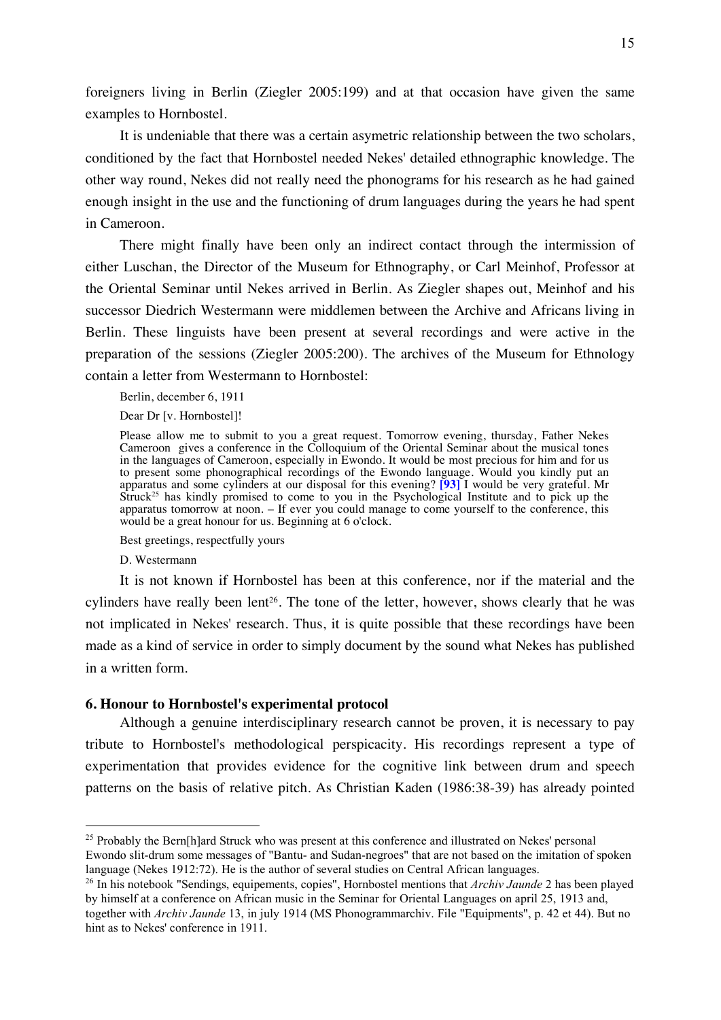foreigners living in Berlin (Ziegler 2005:199) and at that occasion have given the same examples to Hornbostel.

It is undeniable that there was a certain asymetric relationship between the two scholars, conditioned by the fact that Hornbostel needed Nekes' detailed ethnographic knowledge. The other way round, Nekes did not really need the phonograms for his research as he had gained enough insight in the use and the functioning of drum languages during the years he had spent in Cameroon.

There might finally have been only an indirect contact through the intermission of either Luschan, the Director of the Museum for Ethnography, or Carl Meinhof, Professor at the Oriental Seminar until Nekes arrived in Berlin. As Ziegler shapes out, Meinhof and his successor Diedrich Westermann were middlemen between the Archive and Africans living in Berlin. These linguists have been present at several recordings and were active in the preparation of the sessions (Ziegler 2005:200). The archives of the Museum for Ethnology contain a letter from Westermann to Hornbostel:

Berlin, december 6, 1911

Dear Dr [v. Hornbostel]!

Please allow me to submit to you a great request. Tomorrow evening, thursday, Father Nekes Cameroon gives a conference in the Colloquium of the Oriental Seminar about the musical tones in the languages of Cameroon, especially in Ewondo. It would be most precious for him and for us to present some phonographical recordings of the Ewondo language. Would you kindly put an apparatus and some cylinders at our disposal for this evening? **[93]** I would be very grateful. Mr Struck<sup>25</sup> has kindly promised to come to you in the Psychological Institute and to pick up the apparatus tomorrow at noon. – If ever you could manage to come yourself to the conference, this would be a great honour for us. Beginning at 6 o'clock.

Best greetings, respectfully yours

D. Westermann

It is not known if Hornbostel has been at this conference, nor if the material and the cylinders have really been lent<sup>26</sup>. The tone of the letter, however, shows clearly that he was not implicated in Nekes' research. Thus, it is quite possible that these recordings have been made as a kind of service in order to simply document by the sound what Nekes has published in a written form.

# **6. Honour to Hornbostel's experimental protocol**

Although a genuine interdisciplinary research cannot be proven, it is necessary to pay tribute to Hornbostel's methodological perspicacity. His recordings represent a type of experimentation that provides evidence for the cognitive link between drum and speech patterns on the basis of relative pitch. As Christian Kaden (1986:38-39) has already pointed

<sup>&</sup>lt;sup>25</sup> Probably the Bern[h]ard Struck who was present at this conference and illustrated on Nekes' personal

Ewondo slit-drum some messages of "Bantu- and Sudan-negroes" that are not based on the imitation of spoken language (Nekes 1912:72). He is the author of several studies on Central African languages.

<sup>26</sup> In his notebook "Sendings, equipements, copies", Hornbostel mentions that *Archiv Jaunde* 2 has been played by himself at a conference on African music in the Seminar for Oriental Languages on april 25, 1913 and,

together with *Archiv Jaunde* 13, in july 1914 (MS Phonogrammarchiv. File "Equipments", p. 42 et 44). But no hint as to Nekes' conference in 1911.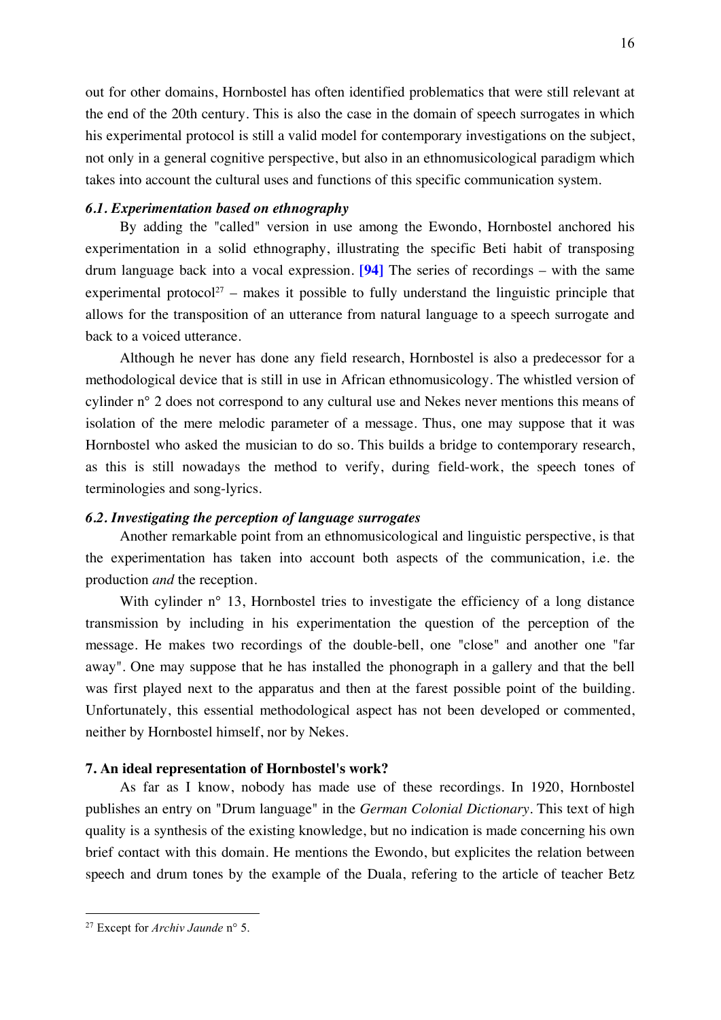out for other domains, Hornbostel has often identified problematics that were still relevant at the end of the 20th century. This is also the case in the domain of speech surrogates in which his experimental protocol is still a valid model for contemporary investigations on the subject, not only in a general cognitive perspective, but also in an ethnomusicological paradigm which takes into account the cultural uses and functions of this specific communication system.

# *6.1. Experimentation based on ethnography*

By adding the "called" version in use among the Ewondo, Hornbostel anchored his experimentation in a solid ethnography, illustrating the specific Beti habit of transposing drum language back into a vocal expression. **[94]** The series of recordings – with the same experimental protocol<sup>27</sup> – makes it possible to fully understand the linguistic principle that allows for the transposition of an utterance from natural language to a speech surrogate and back to a voiced utterance.

Although he never has done any field research, Hornbostel is also a predecessor for a methodological device that is still in use in African ethnomusicology. The whistled version of cylinder n° 2 does not correspond to any cultural use and Nekes never mentions this means of isolation of the mere melodic parameter of a message. Thus, one may suppose that it was Hornbostel who asked the musician to do so. This builds a bridge to contemporary research, as this is still nowadays the method to verify, during field-work, the speech tones of terminologies and song-lyrics.

# *6.2. Investigating the perception of language surrogates*

Another remarkable point from an ethnomusicological and linguistic perspective, is that the experimentation has taken into account both aspects of the communication, i.e. the production *and* the reception.

With cylinder n<sup>o</sup> 13, Hornbostel tries to investigate the efficiency of a long distance transmission by including in his experimentation the question of the perception of the message. He makes two recordings of the double-bell, one "close" and another one "far away". One may suppose that he has installed the phonograph in a gallery and that the bell was first played next to the apparatus and then at the farest possible point of the building. Unfortunately, this essential methodological aspect has not been developed or commented, neither by Hornbostel himself, nor by Nekes.

# **7. An ideal representation of Hornbostel's work?**

As far as I know, nobody has made use of these recordings. In 1920, Hornbostel publishes an entry on "Drum language" in the *German Colonial Dictionary*. This text of high quality is a synthesis of the existing knowledge, but no indication is made concerning his own brief contact with this domain. He mentions the Ewondo, but explicites the relation between speech and drum tones by the example of the Duala, refering to the article of teacher Betz

 <sup>27</sup> Except for *Archiv Jaunde* n° 5.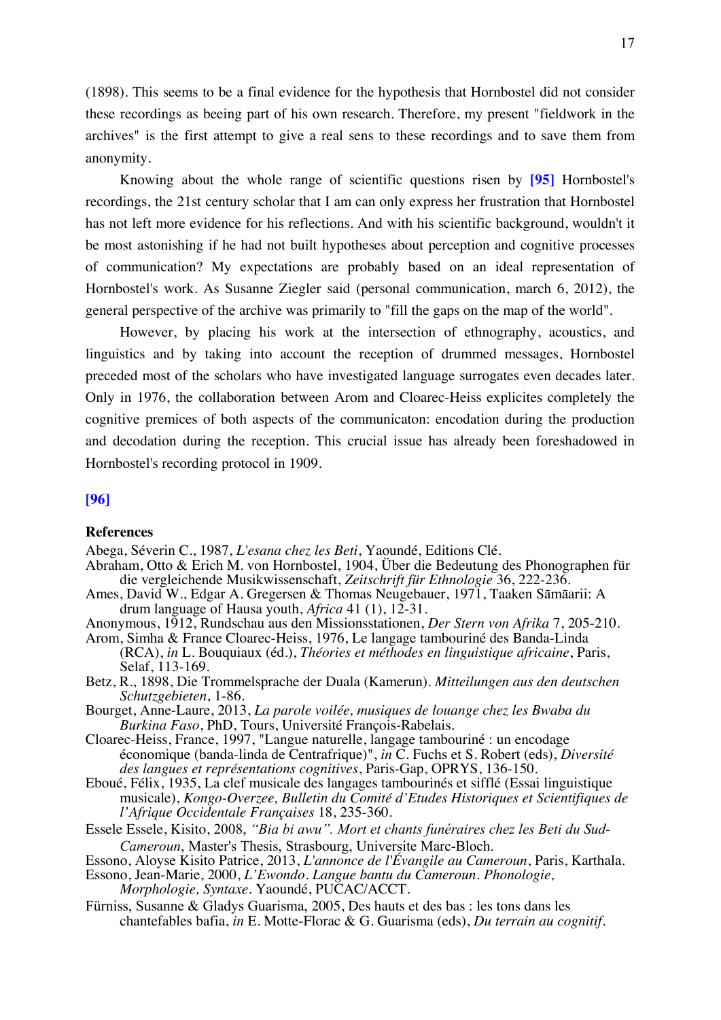(1898). This seems to be a final evidence for the hypothesis that Hornbostel did not consider these recordings as beeing part of his own research. Therefore, my present "fieldwork in the archives" is the first attempt to give a real sens to these recordings and to save them from anonymity.

Knowing about the whole range of scientific questions risen by **[95]** Hornbostel's recordings, the 21st century scholar that I am can only express her frustration that Hornbostel has not left more evidence for his reflections. And with his scientific background, wouldn't it be most astonishing if he had not built hypotheses about perception and cognitive processes of communication? My expectations are probably based on an ideal representation of Hornbostel's work. As Susanne Ziegler said (personal communication, march 6, 2012), the general perspective of the archive was primarily to "fill the gaps on the map of the world".

However, by placing his work at the intersection of ethnography, acoustics, and linguistics and by taking into account the reception of drummed messages, Hornbostel preceded most of the scholars who have investigated language surrogates even decades later. Only in 1976, the collaboration between Arom and Cloarec-Heiss explicites completely the cognitive premices of both aspects of the communicaton: encodation during the production and decodation during the reception. This crucial issue has already been foreshadowed in Hornbostel's recording protocol in 1909.

### **[96]**

#### **References**

- Abega, Séverin C., 1987, *L'esana chez les Beti*, Yaoundé, Editions Clé.
- Abraham, Otto & Erich M. von Hornbostel, 1904, Über die Bedeutung des Phonographen für die vergleichende Musikwissenschaft, *Zeitschrift für Ethnologie* 36, 222-236.
- Ames, David W., Edgar A. Gregersen & Thomas Neugebauer, 1971, Taaken Sāmāarii: A drum language of Hausa youth, *Africa* 41 (1), 12-31.
- Anonymous, 1912, Rundschau aus den Missionsstationen, *Der Stern von Afrika* 7, 205-210.
- Arom, Simha & France Cloarec-Heiss, 1976, Le langage tambouriné des Banda-Linda (RCA), *in* L. Bouquiaux (éd.), *Théories et méthodes en linguistique africaine*, Paris, Selaf, 113-169.
- Betz, R., 1898, Die Trommelsprache der Duala (Kamerun). *Mitteilungen aus den deutschen Schutzgebieten*, 1-86.
- Bourget, Anne-Laure, 2013, *La parole voilée, musiques de louange chez les Bwaba du Burkina Faso*, PhD, Tours, Université François-Rabelais.
- Cloarec-Heiss, France, 1997, "Langue naturelle, langage tambouriné : un encodage économique (banda-linda de Centrafrique)", *in* C. Fuchs et S. Robert (eds), *Diversité des langues et représentations cognitives*, Paris-Gap, OPRYS, 136-150.
- Eboué, Félix, 1935, La clef musicale des langages tambourinés et sifflé (Essai linguistique musicale), *Kongo-Overzee, Bulletin du Comité d'Etudes Historiques et Scientifiques de l'Afrique Occidentale Françaises* 18, 235-360.
- Essele Essele, Kisito, 2008, *"Bia bi awu". Mort et chants funéraires chez les Beti du Sud-Cameroun*, Master's Thesis, Strasbourg, Universite Marc-Bloch.
- Essono, Aloyse Kisito Patrice, 2013, *L'annonce de l'Évangile au Cameroun*, Paris, Karthala.
- Essono, Jean-Marie, 2000, *L'Ewondo. Langue bantu du Cameroun. Phonologie, Morphologie, Syntaxe*. Yaoundé, PUCAC/ACCT.
- Fürniss, Susanne & Gladys Guarisma, 2005, Des hauts et des bas : les tons dans les chantefables bafia, *in* E. Motte-Florac & G. Guarisma (eds), *Du terrain au cognitif.*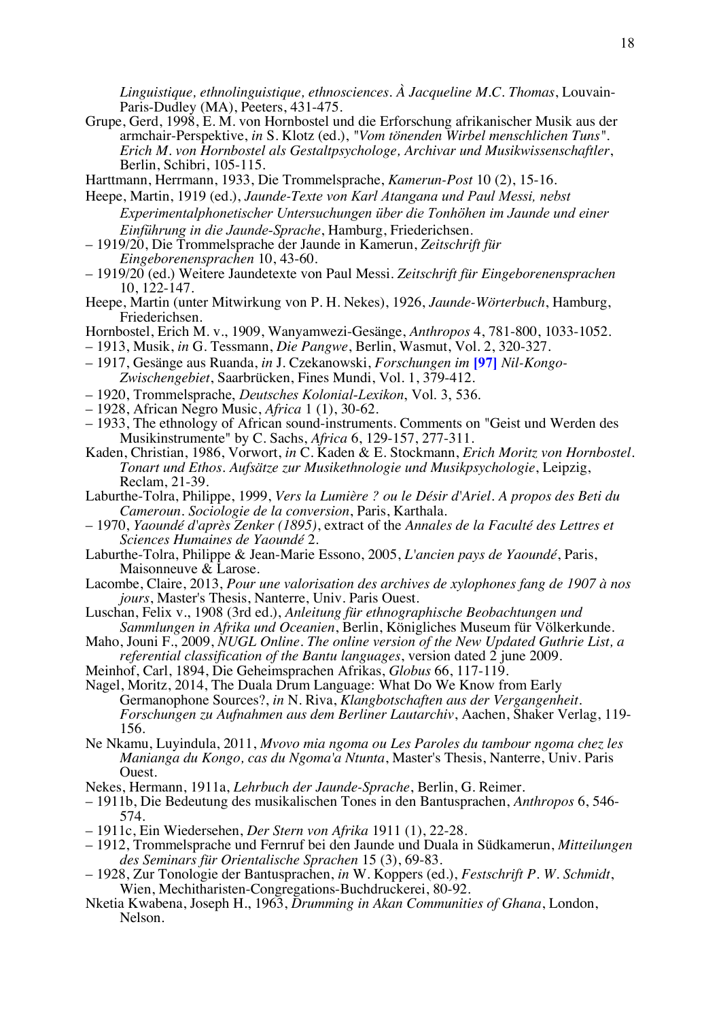*Linguistique, ethnolinguistique, ethnosciences. À Jacqueline M.C. Thomas*, Louvain-Paris-Dudley (MA), Peeters, 431-475.

- Grupe, Gerd, 1998, E. M. von Hornbostel und die Erforschung afrikanischer Musik aus der armchair-Perspektive, *in* S. Klotz (ed.), *"Vom tönenden Wirbel menschlichen Tuns". Erich M. von Hornbostel als Gestaltpsychologe, Archivar und Musikwissenschaftler*, Berlin, Schibri, 105-115.
- Harttmann, Herrmann, 1933, Die Trommelsprache, *Kamerun-Post* 10 (2), 15-16.
- Heepe, Martin, 1919 (ed.), *Jaunde-Texte von Karl Atangana und Paul Messi, nebst Experimentalphonetischer Untersuchungen über die Tonhöhen im Jaunde und einer Einführung in die Jaunde-Sprache*, Hamburg, Friederichsen.
- 1919/20, Die Trommelsprache der Jaunde in Kamerun, *Zeitschrift für Eingeborenensprachen* 10, 43-60.
- 1919/20 (ed.) Weitere Jaundetexte von Paul Messi. *Zeitschrift für Eingeborenensprachen* 10, 122-147.
- Heepe, Martin (unter Mitwirkung von P. H. Nekes), 1926, *Jaunde-Wörterbuch*, Hamburg, Friederichsen.
- Hornbostel, Erich M. v., 1909, Wanyamwezi-Gesänge, *Anthropos* 4, 781-800, 1033-1052.
- 1913, Musik, *in* G. Tessmann, *Die Pangwe*, Berlin, Wasmut, Vol. 2, 320-327.
- 1917, Gesänge aus Ruanda, *in* J. Czekanowski, *Forschungen im* **[97]** *Nil-Kongo- Zwischengebiet*, Saarbrücken, Fines Mundi, Vol. 1, 379-412.
- 
- 
- 1920, Trommelsprache, *Deutsches Kolonial-Lexikon*, Vol. 3, 536. 1928, African Negro Music, *Africa* 1 (1), 30-62. 1933, The ethnology of African sound-instruments. Comments on "Geist und Werden des Musikinstrumente" by C. Sachs, *Africa* 6, 129-157, 277-311.
- Kaden, Christian, 1986, Vorwort, *in* C. Kaden & E. Stockmann, *Erich Moritz von Hornbostel. Tonart und Ethos. Aufsätze zur Musikethnologie und Musikpsychologie*, Leipzig, Reclam, 21-39.
- Laburthe-Tolra, Philippe, 1999, *Vers la Lumière ? ou le Désir d'Ariel. A propos des Beti du Cameroun. Sociologie de la conversion*, Paris, Karthala.
- 1970, *Yaoundé d'après Zenker (1895)*, extract of the *Annales de la Faculté des Lettres et Sciences Humaines de Yaoundé* 2.
- Laburthe-Tolra, Philippe & Jean-Marie Essono, 2005, *L'ancien pays de Yaoundé*, Paris, Maisonneuve & Larose.
- Lacombe, Claire, 2013, *Pour une valorisation des archives de xylophones fang de 1907 à nos jours*, Master's Thesis, Nanterre, Univ. Paris Ouest.
- Luschan, Felix v., 1908 (3rd ed.), *Anleitung für ethnographische Beobachtungen und Sammlungen in Afrika und Oceanien*, Berlin, Königliches Museum für Völkerkunde.
- Maho, Jouni F., 2009, *NUGL Online. The online version of the New Updated Guthrie List, a referential classification of the Bantu languages*, version dated 2 june 2009.
- Meinhof, Carl, 1894, Die Geheimsprachen Afrikas, *Globus* 66, 117-119.
- Nagel, Moritz, 2014, The Duala Drum Language: What Do We Know from Early Germanophone Sources?, *in* N. Riva, *Klangbotschaften aus der Vergangenheit. Forschungen zu Aufnahmen aus dem Berliner Lautarchiv*, Aachen, Shaker Verlag, 119- 156.
- Ne Nkamu, Luyindula, 2011, *Mvovo mia ngoma ou Les Paroles du tambour ngoma chez les Manianga du Kongo, cas du Ngoma'a Ntunta*, Master's Thesis, Nanterre, Univ. Paris Ouest.
- Nekes, Hermann, 1911a, *Lehrbuch der Jaunde-Sprache*, Berlin, G. Reimer.
- 1911b, Die Bedeutung des musikalischen Tones in den Bantusprachen, *Anthropos* 6, 546- 574.
- 1911c, Ein Wiedersehen, *Der Stern von Afrika* 1911 (1), 22-28.
- 1912, Trommelsprache und Fernruf bei den Jaunde und Duala in Südkamerun, *Mitteilungen des Seminars für Orientalische Sprachen* 15 (3), 69-83.
- 1928, Zur Tonologie der Bantusprachen, *in* W. Koppers (ed.), *Festschrift P. W. Schmidt*, Wien, Mechitharisten-Congregations-Buchdruckerei, 80-92.
- Nketia Kwabena, Joseph H., 1963, *Drumming in Akan Communities of Ghana*, London, Nelson.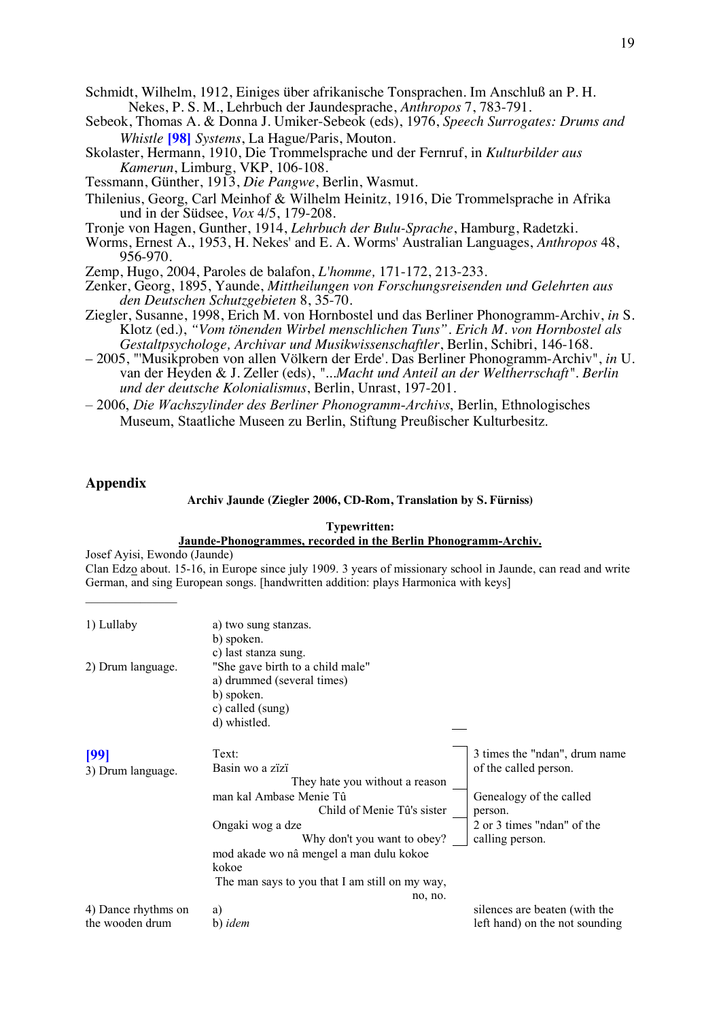Schmidt, Wilhelm, 1912, Einiges über afrikanische Tonsprachen. Im Anschluß an P. H. Nekes, P. S. M., Lehrbuch der Jaundesprache, *Anthropos* 7, 783-791.

- Sebeok, Thomas A. & Donna J. Umiker-Sebeok (eds), 1976, *Speech Surrogates: Drums and Whistle* **[98]** *Systems*, La Hague/Paris, Mouton.
- Skolaster, Hermann, 1910, Die Trommelsprache und der Fernruf, in *Kulturbilder aus Kamerun*, Limburg, VKP, 106-108.
- Tessmann, Günther, 1913, *Die Pangwe*, Berlin, Wasmut.
- Thilenius, Georg, Carl Meinhof & Wilhelm Heinitz, 1916, Die Trommelsprache in Afrika und in der Südsee, *Vox* 4/5, 179-208.
- Tronje von Hagen, Gunther, 1914, *Lehrbuch der Bulu-Sprache*, Hamburg, Radetzki.
- Worms, Ernest A., 1953, H. Nekes' and E. A. Worms' Australian Languages, *Anthropos* 48, 956-970.
- Zemp, Hugo, 2004, Paroles de balafon, *L'homme,* 171-172, 213-233.
- Zenker, Georg, 1895, Yaunde, *Mittheilungen von Forschungsreisenden und Gelehrten aus den Deutschen Schutzgebieten* 8, 35-70.
- Ziegler, Susanne, 1998, Erich M. von Hornbostel und das Berliner Phonogramm-Archiv, *in* S. Klotz (ed.), *"Vom tönenden Wirbel menschlichen Tuns". Erich M. von Hornbostel als Gestaltpsychologe, Archivar und Musikwissenschaftler*, Berlin, Schibri, 146-168.
- 2005, "'Musikproben von allen Völkern der Erde'. Das Berliner Phonogramm-Archiv", *in* U. van der Heyden & J. Zeller (eds), *"...Macht und Anteil an der Weltherrschaft". Berlin und der deutsche Kolonialismus*, Berlin, Unrast, 197-201.
- 2006, *Die Wachszylinder des Berliner Phonogramm-Archivs*, Berlin, Ethnologisches Museum, Staatliche Museen zu Berlin, Stiftung Preußischer Kulturbesitz.

# **Appendix**

#### **Archiv Jaunde (Ziegler 2006, CD-Rom, Translation by S. Fürniss)**

#### **Typewritten: Jaunde-Phonogrammes, recorded in the Berlin Phonogramm-Archiv.** Josef Ayisi, Ewondo (Jaunde) Clan Edzo about. 15-16, in Europe since july 1909. 3 years of missionary school in Jaunde, can read and write German, and sing European songs. [handwritten addition: plays Harmonica with keys]  $\mathcal{L}=\mathcal{L}^{\mathcal{L}}$ 1) Lullaby a) two sung stanzas. b) spoken. c) last stanza sung. 2) Drum language. "She gave birth to a child male" a) drummed (several times) b) spoken. c) called (sung) d) whistled. **[99]** 3) Drum language. Text: Basin wo a zïzï They hate you without a reason 3 times the "ndan", drum name of the called person. man kal Ambase Menie Tû Child of Menie Tû's sister Genealogy of the called person. Ongaki wog a dze Why don't you want to obey? 2 or 3 times "ndan" of the calling person. mod akade wo nâ mengel a man dulu kokoe kokoe The man says to you that I am still on my way, no, no. 4) Dance rhythms on the wooden drum a) b) *idem* silences are beaten (with the left hand) on the not sounding